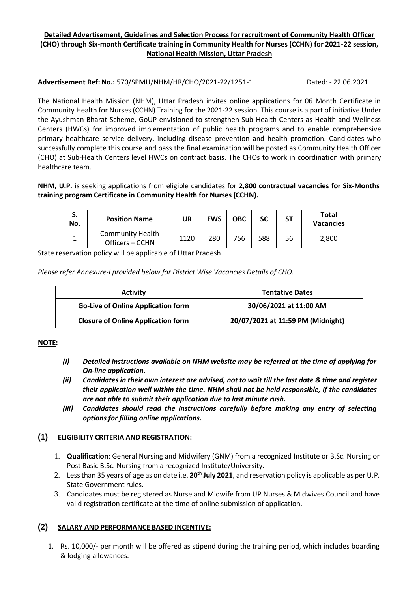### **Detailed Advertisement, Guidelines and Selection Process for recruitment of Community Health Officer (CHO) through Six-month Certificate training in Community Health for Nurses (CCHN) for 2021-22 session, National Health Mission, Uttar Pradesh**

**Advertisement Ref: No.:** 570/SPMU/NHM/HR/CHO/2021-22/1251-1 Dated: - 22.06.2021

The National Health Mission (NHM), Uttar Pradesh invites online applications for 06 Month Certificate in Community Health for Nurses (CCHN) Training for the 2021-22 session. This course is a part of initiative Under the Ayushman Bharat Scheme, GoUP envisioned to strengthen Sub-Health Centers as Health and Wellness Centers (HWCs) for improved implementation of public health programs and to enable comprehensive primary healthcare service delivery, including disease prevention and health promotion. Candidates who successfully complete this course and pass the final examination will be posted as Community Health Officer (CHO) at Sub-Health Centers level HWCs on contract basis. The CHOs to work in coordination with primary healthcare team.

**NHM, U.P.** is seeking applications from eligible candidates for **2,800 contractual vacancies for Six-Months training program Certificate in Community Health for Nurses (CCHN).**

| S.<br>No. | <b>Position Name</b>                       | UR   | <b>EWS</b> | ОВС | SC  | <b>ST</b> | <b>Total</b><br><b>Vacancies</b> |
|-----------|--------------------------------------------|------|------------|-----|-----|-----------|----------------------------------|
|           | <b>Community Health</b><br>Officers – CCHN | 1120 | 280        | 756 | 588 | 56        | 2,800                            |

State reservation policy will be applicable of Uttar Pradesh.

*Please refer Annexure-I provided below for District Wise Vacancies Details of CHO.*

| <b>Activity</b>                           | <b>Tentative Dates</b>            |  |  |
|-------------------------------------------|-----------------------------------|--|--|
| <b>Go-Live of Online Application form</b> | 30/06/2021 at 11:00 AM            |  |  |
| <b>Closure of Online Application form</b> | 20/07/2021 at 11:59 PM (Midnight) |  |  |

### **NOTE:**

- *(i) Detailed instructions available on NHM website may be referred at the time of applying for On-line application.*
- (ii) Candidates in their own interest are advised, not to wait till the last date & time and register *their application well within the time. NHM shall not be held responsible, if the candidates are not able to submit their application due to last minute rush.*
- *(iii) Candidates should read the instructions carefully before making any entry of selecting options for filling online applications.*

### **(1) ELIGIBILITY CRITERIA AND REGISTRATION:**

- 1. **Qualification**: General Nursing and Midwifery (GNM) from a recognized Institute or B.Sc. Nursing or Post Basic B.Sc. Nursing from a recognized Institute/University.
- 2. Lessthan 35 years of age as on date i.e. **20th July 2021**, and reservation policy is applicable as per U.P. State Government rules.
- 3. Candidates must be registered as Nurse and Midwife from UP Nurses & Midwives Council and have valid registration certificate at the time of online submission of application.

# **(2) SALARY AND PERFORMANCE BASED INCENTIVE:**

1. Rs. 10,000/- per month will be offered as stipend during the training period, which includes boarding & lodging allowances.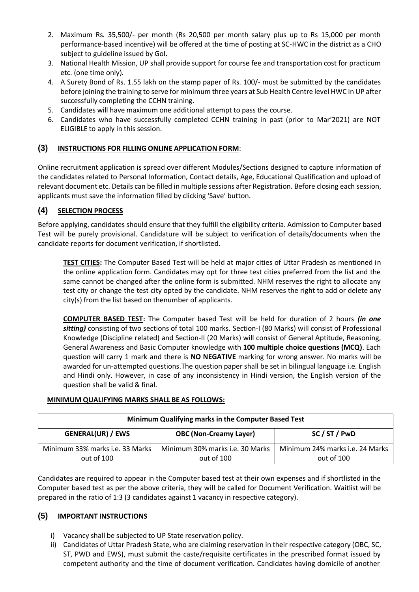- 2. Maximum Rs. 35,500/- per month (Rs 20,500 per month salary plus up to Rs 15,000 per month performance-based incentive) will be offered at the time of posting at SC-HWC in the district as a CHO subject to guideline issued by GoI.
- 3. National Health Mission, UP shall provide support for course fee and transportation cost for practicum etc. (one time only).
- 4. A Surety Bond of Rs. 1.55 lakh on the stamp paper of Rs. 100/- must be submitted by the candidates before joining the training to serve for minimum three years at Sub Health Centre level HWC in UP after successfully completing the CCHN training.
- 5. Candidates will have maximum one additional attempt to pass the course.
- 6. Candidates who have successfully completed CCHN training in past (prior to Mar'2021) are NOT ELIGIBLE to apply in this session.

## **(3) INSTRUCTIONS FOR FILLING ONLINE APPLICATION FORM**:

Online recruitment application is spread over different Modules/Sections designed to capture information of the candidates related to Personal Information, Contact details, Age, Educational Qualification and upload of relevant document etc. Details can be filled in multiple sessions after Registration. Before closing each session, applicants must save the information filled by clicking 'Save' button.

# **(4) SELECTION PROCESS**

Before applying, candidates should ensure that they fulfill the eligibility criteria. Admission to Computer based Test will be purely provisional. Candidature will be subject to verification of details/documents when the candidate reports for document verification, if shortlisted.

**TEST CITIES:** The Computer Based Test will be held at major cities of Uttar Pradesh as mentioned in the online application form. Candidates may opt for three test cities preferred from the list and the same cannot be changed after the online form is submitted. NHM reserves the right to allocate any test city or change the test city opted by the candidate. NHM reserves the right to add or delete any city(s) from the list based on thenumber of applicants.

**COMPUTER BASED TEST:** The Computer based Test will be held for duration of 2 hours *(in one sitting)* consisting of two sections of total 100 marks. Section-I (80 Marks) will consist of Professional Knowledge (Discipline related) and Section-II (20 Marks) will consist of General Aptitude, Reasoning, General Awareness and Basic Computer knowledge with **100 multiple choice questions (MCQ)**. Each question will carry 1 mark and there is **NO NEGATIVE** marking for wrong answer. No marks will be awarded for un-attempted questions.The question paper shall be set in bilingual language i.e. English and Hindi only. However, in case of any inconsistency in Hindi version, the English version of the question shall be valid & final.

### **MINIMUM QUALIFYING MARKS SHALL BE AS FOLLOWS:**

| Minimum Qualifying marks in the Computer Based Test |                                 |                                 |  |  |  |
|-----------------------------------------------------|---------------------------------|---------------------------------|--|--|--|
| <b>GENERAL(UR) / EWS</b>                            | <b>OBC (Non-Creamy Layer)</b>   | SC / ST / PwD                   |  |  |  |
| Minimum 33% marks i.e. 33 Marks                     | Minimum 30% marks i.e. 30 Marks | Minimum 24% marks i.e. 24 Marks |  |  |  |
| out of 100                                          | out of 100                      | out of 100                      |  |  |  |

Candidates are required to appear in the Computer based test at their own expenses and if shortlisted in the Computer based test as per the above criteria, they will be called for Document Verification. Waitlist will be prepared in the ratio of 1:3 (3 candidates against 1 vacancy in respective category).

### **(5) IMPORTANT INSTRUCTIONS**

- i) Vacancy shall be subjected to UP State reservation policy.
- ii) Candidates of Uttar Pradesh State, who are claiming reservation in their respective category (OBC, SC, ST, PWD and EWS), must submit the caste/requisite certificates in the prescribed format issued by competent authority and the time of document verification. Candidates having domicile of another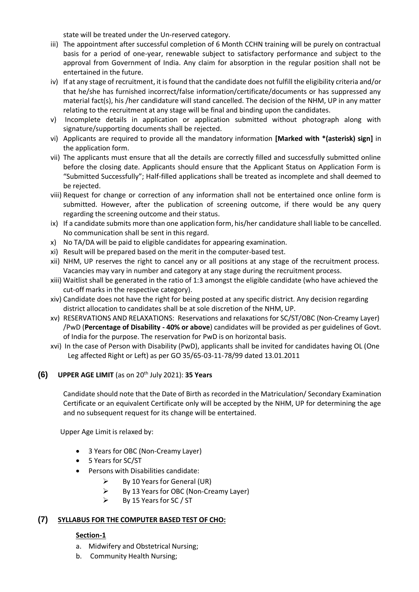state will be treated under the Un-reserved category.

- iii) The appointment after successful completion of 6 Month CCHN training will be purely on contractual basis for a period of one-year, renewable subject to satisfactory performance and subject to the approval from Government of India. Any claim for absorption in the regular position shall not be entertained in the future.
- iv) If at any stage of recruitment, it isfound that the candidate does not fulfill the eligibility criteria and/or that he/she has furnished incorrect/false information/certificate/documents or has suppressed any material fact(s), his /her candidature will stand cancelled. The decision of the NHM, UP in any matter relating to the recruitment at any stage will be final and binding upon the candidates.
- v) Incomplete details in application or application submitted without photograph along with signature/supporting documents shall be rejected.
- vi) Applicants are required to provide all the mandatory information **[Marked with \*(asterisk) sign]** in the application form.
- vii) The applicants must ensure that all the details are correctly filled and successfully submitted online before the closing date. Applicants should ensure that the Applicant Status on Application Form is "Submitted Successfully"; Half-filled applications shall be treated as incomplete and shall deemed to be rejected.
- viii) Request for change or correction of any information shall not be entertained once online form is submitted. However, after the publication of screening outcome, if there would be any query regarding the screening outcome and their status.
- ix) If a candidate submits more than one application form, his/her candidature shall liable to be cancelled. No communication shall be sent in this regard.
- x) No TA/DA will be paid to eligible candidates for appearing examination.
- xi) Result will be prepared based on the merit in the computer-based test.
- xii) NHM, UP reserves the right to cancel any or all positions at any stage of the recruitment process. Vacancies may vary in number and category at any stage during the recruitment process.
- xiii) Waitlist shall be generated in the ratio of 1:3 amongst the eligible candidate (who have achieved the cut-off marks in the respective category).
- xiv) Candidate does not have the right for being posted at any specific district. Any decision regarding district allocation to candidates shall be at sole discretion of the NHM, UP.
- xv) RESERVATIONS AND RELAXATIONS: Reservations and relaxations for SC/ST/OBC (Non-Creamy Layer) /PwD (**Percentage of Disability - 40% or above**) candidates will be provided as per guidelines of Govt. of India for the purpose. The reservation for PwD is on horizontal basis.
- xvi) In the case of Person with Disability (PwD), applicants shall be invited for candidates having OL (One Leg affected Right or Left) as per GO 35/65-03-11-78/99 dated 13.01.2011

### **(6) UPPER AGE LIMIT** (as on 20th July 2021): **35 Years**

Candidate should note that the Date of Birth as recorded in the Matriculation/ Secondary Examination Certificate or an equivalent Certificate only will be accepted by the NHM, UP for determining the age and no subsequent request for its change will be entertained.

Upper Age Limit is relaxed by:

- 3 Years for OBC (Non-Creamy Layer)
- 5 Years for SC/ST
- Persons with Disabilities candidate:
	- $\triangleright$  By 10 Years for General (UR)
	- $\triangleright$  By 13 Years for OBC (Non-Creamy Layer)
	- $\triangleright$  By 15 Years for SC / ST

### **(7) SYLLABUS FOR THE COMPUTER BASED TEST OF CHO:**

### **Section-1**

- a. Midwifery and Obstetrical Nursing;
- b. Community Health Nursing;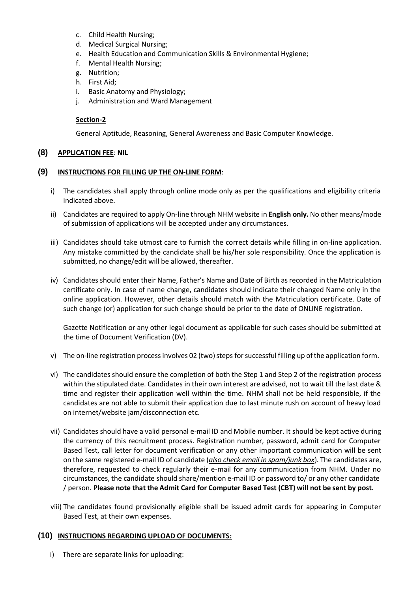- c. Child Health Nursing;
- d. Medical Surgical Nursing;
- e. Health Education and Communication Skills & Environmental Hygiene;
- f. Mental Health Nursing;
- g. Nutrition;
- h. First Aid;
- i. Basic Anatomy and Physiology;
- j. Administration and Ward Management

#### **Section-2**

General Aptitude, Reasoning, General Awareness and Basic Computer Knowledge.

#### **(8) APPLICATION FEE**: **NIL**

#### **(9) INSTRUCTIONS FOR FILLING UP THE ON-LINE FORM**:

- i) The candidates shall apply through online mode only as per the qualifications and eligibility criteria indicated above.
- ii) Candidates are required to apply On-line through NHM website in **English only.** No other means/mode of submission of applications will be accepted under any circumstances.
- iii) Candidates should take utmost care to furnish the correct details while filling in on-line application. Any mistake committed by the candidate shall be his/her sole responsibility. Once the application is submitted, no change/edit will be allowed, thereafter.
- iv) Candidates should enter their Name, Father's Name and Date of Birth as recorded in the Matriculation certificate only. In case of name change, candidates should indicate their changed Name only in the online application. However, other details should match with the Matriculation certificate. Date of such change (or) application for such change should be prior to the date of ONLINE registration.

Gazette Notification or any other legal document as applicable for such cases should be submitted at the time of Document Verification (DV).

- v) The on-line registration process involves 02 (two) steps for successful filling up of the application form.
- vi) The candidates should ensure the completion of both the Step 1 and Step 2 of the registration process within the stipulated date. Candidates in their own interest are advised, not to wait till the last date & time and register their application well within the time. NHM shall not be held responsible, if the candidates are not able to submit their application due to last minute rush on account of heavy load on internet/website jam/disconnection etc.
- vii) Candidates should have a valid personal e-mail ID and Mobile number. It should be kept active during the currency of this recruitment process. Registration number, password, admit card for Computer Based Test, call letter for document verification or any other important communication will be sent on the same registered e-mail ID of candidate (*also check email in spam/junk box*). The candidates are, therefore, requested to check regularly their e-mail for any communication from NHM. Under no circumstances, the candidate should share/mention e-mail ID or password to/ or any other candidate / person. **Please note that the Admit Card for Computer Based Test (CBT) will not be sent by post.**
- viii) The candidates found provisionally eligible shall be issued admit cards for appearing in Computer Based Test, at their own expenses.

### **(10) INSTRUCTIONS REGARDING UPLOAD OF DOCUMENTS:**

i) There are separate links for uploading: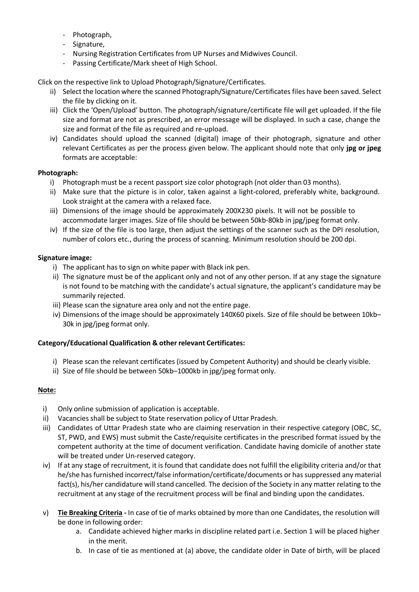- Photograph,
- Signature,
- Nursing Registration Certificates from UP Nurses and Midwives Council.
- Passing Certificate/Mark sheet of High School.

Click on the respective link to Upload Photograph/Signature/Certificates.

- ii) Select the location where the scanned Photograph/Signature/Certificates files have been saved. Select the file by clicking on it.
- iii) Click the 'Open/Upload' button. The photograph/signature/certificate file will get uploaded. If the file size and format are not as prescribed, an error message will be displayed. In such a case, change the size and format of the file as required and re-upload.
- iv) Candidates should upload the scanned (digital) image of their photograph, signature and other relevant Certificates as per the process given below. The applicant should note that only **jpg or jpeg** formats are acceptable:

#### **Photograph:**

- i) Photograph must be a recent passport size color photograph (not older than 03 months).
- ii) Make sure that the picture is in color, taken against a light-colored, preferably white, background. Look straight at the camera with a relaxed face.
- iii) Dimensions of the image should be approximately 200X230 pixels. It will not be possible to accommodate larger images. Size of file should be between 50kb-80kb in jpg/jpeg format only.
- iv) If the size of the file is too large, then adjust the settings of the scanner such as the DPI resolution, number of colors etc., during the process of scanning. Minimum resolution should be 200 dpi.

### **Signature image:**

- i) The applicant has to sign on white paper with Black ink pen.
- ii) The signature must be of the applicant only and not of any other person. If at any stage the signature is not found to be matching with the candidate's actual signature, the applicant's candidature may be summarily rejected.
- iii) Please scan the signature area only and not the entire page.
- iv) Dimensions of the image should be approximately 140X60 pixels. Size of file should be between 10kb– 30k in jpg/jpeg format only.

### **Category/Educational Qualification & other relevant Certificates:**

- i) Please scan the relevant certificates (issued by Competent Authority) and should be clearly visible.
- ii) Size of file should be between 50kb–1000kb in jpg/jpeg format only.

#### **Note:**

- i) Only online submission of application is acceptable.
- ii) Vacancies shall be subject to State reservation policy of Uttar Pradesh.
- iii) Candidates of Uttar Pradesh state who are claiming reservation in their respective category (OBC, SC, ST, PWD, and EWS) must submit the Caste/requisite certificates in the prescribed format issued by the competent authority at the time of document verification. Candidate having domicile of another state will be treated under Un-reserved category.
- iv) If at any stage of recruitment, it is found that candidate does not fulfill the eligibility criteria and/or that he/she has furnished incorrect/false information/certificate/documents or has suppressed any material fact(s), his/her candidature will stand cancelled. The decision of the Society in any matter relating to the recruitment at any stage of the recruitment process will be final and binding upon the candidates.
- v) **Tie Breaking Criteria -** In case of tie of marks obtained by more than one Candidates, the resolution will be done in following order:
	- a. Candidate achieved higher marks in discipline related part i.e. Section 1 will be placed higher in the merit.
	- b. In case of tie as mentioned at (a) above, the candidate older in Date of birth, will be placed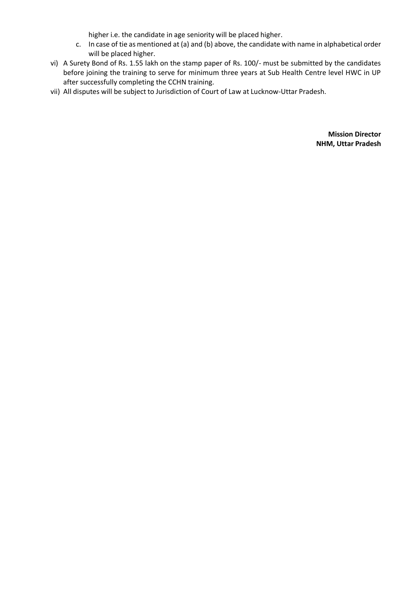higher i.e. the candidate in age seniority will be placed higher.

- c. In case of tie as mentioned at (a) and (b) above, the candidate with name in alphabetical order will be placed higher.
- vi) A Surety Bond of Rs. 1.55 lakh on the stamp paper of Rs. 100/- must be submitted by the candidates before joining the training to serve for minimum three years at Sub Health Centre level HWC in UP after successfully completing the CCHN training.
- vii) All disputes will be subject to Jurisdiction of Court of Law at Lucknow-Uttar Pradesh.

**Mission Director NHM, Uttar Pradesh**